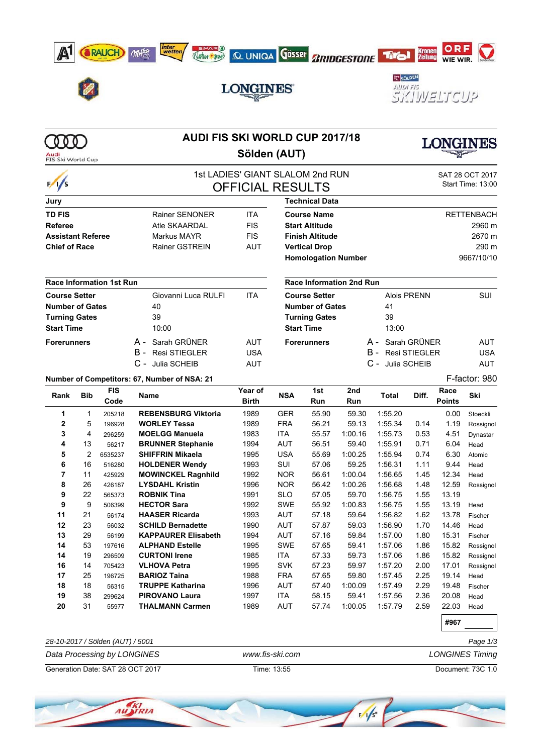









# **LONGINES**



| Audi<br>FIS Ski World Cup                      |                          |                                 | <b>AUDI FIS SKI WORLD CUP 2017/18</b><br>Sölden (AUT) |                         |                                                     |                            |                                 |                           | LONGINES          |               |               |  |  |
|------------------------------------------------|--------------------------|---------------------------------|-------------------------------------------------------|-------------------------|-----------------------------------------------------|----------------------------|---------------------------------|---------------------------|-------------------|---------------|---------------|--|--|
|                                                |                          |                                 |                                                       |                         | 1st LADIES' GIANT SLALOM 2nd RUN<br>SAT 28 OCT 2017 |                            |                                 |                           |                   |               |               |  |  |
| $\frac{1}{s}$                                  |                          |                                 |                                                       | <b>OFFICIAL RESULTS</b> |                                                     |                            | Start Time: 13:00               |                           |                   |               |               |  |  |
| Jury                                           |                          |                                 |                                                       |                         |                                                     | <b>Technical Data</b>      |                                 |                           |                   |               |               |  |  |
| <b>TD FIS</b>                                  |                          |                                 | <b>Rainer SENONER</b>                                 | <b>ITA</b>              |                                                     | <b>Course Name</b>         |                                 |                           | <b>RETTENBACH</b> |               |               |  |  |
| <b>Referee</b>                                 |                          |                                 | Atle SKAARDAL                                         | <b>FIS</b>              | <b>Start Altitude</b>                               |                            |                                 |                           |                   | 2960 m        |               |  |  |
| <b>Assistant Referee</b>                       |                          |                                 | Markus MAYR                                           | <b>FIS</b>              | <b>Finish Altitude</b>                              |                            |                                 |                           |                   |               | 2670 m        |  |  |
| <b>Chief of Race</b>                           |                          |                                 | <b>Rainer GSTREIN</b>                                 | <b>AUT</b>              | <b>Vertical Drop</b>                                |                            |                                 |                           |                   | 290 m         |               |  |  |
|                                                |                          |                                 |                                                       |                         |                                                     | <b>Homologation Number</b> |                                 | 9667/10/10                |                   |               |               |  |  |
|                                                |                          | <b>Race Information 1st Run</b> |                                                       |                         |                                                     |                            | <b>Race Information 2nd Run</b> |                           |                   |               |               |  |  |
| <b>Course Setter</b>                           |                          |                                 | Giovanni Luca RULFI                                   | <b>ITA</b>              | <b>Course Setter</b>                                |                            |                                 | <b>Alois PRENN</b><br>SUI |                   |               |               |  |  |
|                                                |                          |                                 | 40                                                    |                         | <b>Number of Gates</b>                              |                            |                                 | 41                        |                   |               |               |  |  |
| <b>Number of Gates</b><br><b>Turning Gates</b> |                          |                                 | 39                                                    |                         | <b>Turning Gates</b>                                |                            |                                 | 39                        |                   |               |               |  |  |
| <b>Start Time</b>                              |                          |                                 | 10:00                                                 |                         | <b>Start Time</b>                                   |                            |                                 | 13:00                     |                   |               |               |  |  |
|                                                |                          |                                 |                                                       |                         |                                                     |                            |                                 |                           |                   |               |               |  |  |
| <b>Forerunners</b>                             |                          |                                 | A - Sarah GRÜNER                                      | <b>AUT</b>              | <b>Forerunners</b>                                  |                            |                                 | A - Sarah GRÜNER          |                   |               | <b>AUT</b>    |  |  |
|                                                |                          |                                 | <b>B</b> - Resi STIEGLER                              | <b>USA</b>              |                                                     |                            |                                 | <b>B</b> - Resi STIEGLER  |                   |               | <b>USA</b>    |  |  |
|                                                |                          |                                 | C - Julia SCHEIB                                      | <b>AUT</b>              |                                                     |                            |                                 | C - Julia SCHEIB          |                   |               | <b>AUT</b>    |  |  |
|                                                |                          |                                 | Number of Competitors: 67, Number of NSA: 21          |                         |                                                     |                            |                                 |                           |                   |               | F-factor: 980 |  |  |
| Rank                                           | <b>FIS</b><br><b>Bib</b> |                                 | Name                                                  | Year of                 | <b>NSA</b>                                          | 1st                        | 2nd                             | <b>Total</b>              | Diff.             | Race          | Ski           |  |  |
|                                                |                          | Code                            |                                                       | <b>Birth</b>            |                                                     | Run                        | Run                             |                           |                   | <b>Points</b> |               |  |  |
| 1                                              | $\mathbf{1}$             | 205218                          | <b>REBENSBURG Viktoria</b>                            | 1989                    | <b>GER</b>                                          | 55.90                      | 59.30                           | 1:55.20                   |                   | 0.00          | Stoeckli      |  |  |
| $\mathbf{2}$                                   | 5                        | 196928                          | <b>WORLEY Tessa</b>                                   | 1989                    | <b>FRA</b>                                          | 56.21                      | 59.13                           | 1:55.34                   | 0.14              | 1.19          | Rossignol     |  |  |
| 3                                              | 4                        | 296259                          | <b>MOELGG Manuela</b>                                 | 1983                    | <b>ITA</b>                                          | 55.57                      | 1:00.16                         | 1:55.73                   | 0.53              | 4.51          | Dynastar      |  |  |
| 4                                              | 13                       | 56217                           | <b>BRUNNER Stephanie</b>                              | 1994                    | <b>AUT</b>                                          | 56.51                      | 59.40                           | 1:55.91                   | 0.71              | 6.04          | Head          |  |  |
| 5                                              | $\overline{2}$           | 6535237                         | <b>SHIFFRIN Mikaela</b>                               | 1995                    | <b>USA</b>                                          | 55.69                      | 1:00.25                         | 1:55.94                   | 0.74              | 6.30          | Atomic        |  |  |
| 6                                              | 16                       | 516280                          | <b>HOLDENER Wendy</b>                                 | 1993                    | SUI                                                 | 57.06                      | 59.25                           | 1:56.31                   | 1.11              | 9.44          | Head          |  |  |
| $\overline{7}$                                 | 11                       | 425929                          | <b>MOWINCKEL Ragnhild</b>                             | 1992                    | <b>NOR</b>                                          | 56.61                      | 1:00.04                         | 1:56.65                   | 1.45              | 12.34         | Head          |  |  |
| 8                                              | 26                       | 426187                          | <b>LYSDAHL Kristin</b>                                | 1996                    | <b>NOR</b>                                          | 56.42                      | 1:00.26                         | 1:56.68                   | 1.48              | 12.59         | Rossignol     |  |  |
| 9                                              | 22                       | 565373                          | <b>ROBNIK Tina</b>                                    | 1991                    | <b>SLO</b>                                          | 57.05                      | 59.70                           | 1:56.75                   | 1.55              | 13.19         |               |  |  |
| 9                                              | 9                        | 506399                          | <b>HECTOR Sara</b>                                    | 1992                    | <b>SWE</b>                                          | 55.92                      | 1:00.83                         | 1:56.75                   | 1.55              | 13.19         | Head          |  |  |
| 11                                             | 21                       | 56174                           | <b>HAASER Ricarda</b>                                 | 1993                    | <b>AUT</b>                                          | 57.18                      | 59.64                           | 1:56.82                   | 1.62              | 13.78         | Fischer       |  |  |
| 12                                             | 23                       | 56032                           | <b>SCHILD Bernadette</b>                              | 1990                    | <b>AUT</b>                                          | 57.87                      | 59.03                           | 1:56.90                   | 1.70              | 14.46         | Head          |  |  |
| 13                                             | 29                       | 56199                           | <b>KAPPAURER Elisabeth</b>                            | 1994                    | <b>AUT</b>                                          | 57.16                      | 59.84                           | 1:57.00                   | 1.80              | 15.31         | Fischer       |  |  |
| 14                                             | 53                       | 197616                          | <b>ALPHAND Estelle</b>                                | 1995                    | <b>SWE</b>                                          | 57.65                      | 59.41                           | 1:57.06                   | 1.86              | 15.82         | Rossignol     |  |  |
| 14                                             | 19                       | 296509                          | <b>CURTONI Irene</b>                                  | 1985                    | <b>ITA</b>                                          | 57.33                      | 59.73                           | 1:57.06                   | 1.86              | 15.82         | Rossignol     |  |  |
| 16                                             | 14                       | 705423                          | <b>VLHOVA Petra</b>                                   | 1995                    | <b>SVK</b>                                          | 57.23                      | 59.97                           | 1:57.20                   | 2.00              | 17.01         | Rossignol     |  |  |
| 17                                             | 25                       | 196725                          | <b>BARIOZ Taina</b>                                   | 1988                    | <b>FRA</b>                                          | 57.65                      | 59.80                           | 1:57.45                   | 2.25              | 19.14         | Head          |  |  |
| 18                                             | 18                       | 56315                           | <b>TRUPPE Katharina</b>                               | 1996                    | AUT                                                 | 57.40                      | 1:00.09                         | 1:57.49                   | 2.29              | 19.48         | Fischer       |  |  |

**#967**

| 28-10-2017 / Sölden (AUT) / 5001 | Page 1/3        |                        |  |
|----------------------------------|-----------------|------------------------|--|
| Data Processing by LONGINES      | www.fis-ski.com | <b>LONGINES Timing</b> |  |
| Generation Date: SAT 28 OCT 2017 | Time: 13:55     | Document: 73C 1.0      |  |

**19** 38 299624 **PIROVANO Laura** 1997 ITA 58.15 59.41 1:57.56 2.36 20.08 Head **20** 31 55977 **THALMANN Carmen** 1989 AUT 57.74 1:00.05 1:57.79 2.59 22.03 Head



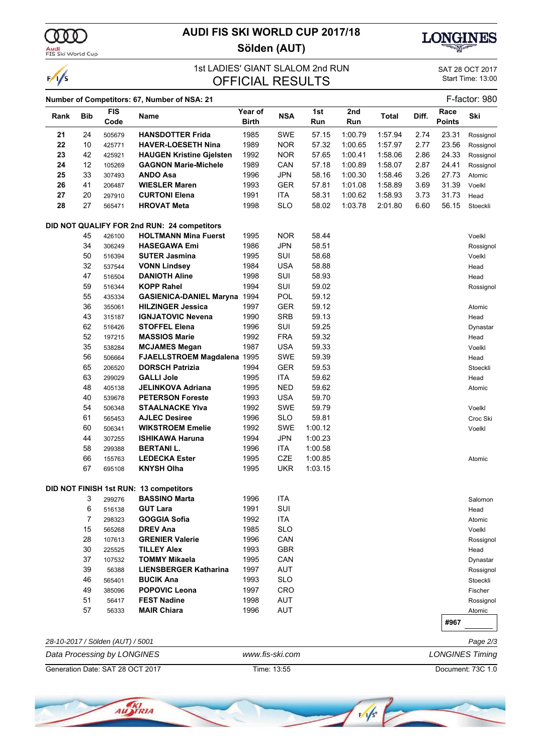

 $\frac{1}{s}$ 

Audi<br>FIS Ski World Cup

## **AUDI FIS SKI WORLD CUP 2017/18 Sölden (AUT)**



#### 1st LADIES' GIANT SLALOM 2nd RUN SAT 28 OCT 2017<br>
OFFICIAL PESLILTS Start Time: 13:00 OFFICIAL RESULTS

|      |            | <b>FIS</b>                       | Number of Competitors: 67, Number of NSA: 21 | Year of      |                 | 1st     | 2nd     |              |       | Race          | F-factor: 980          |
|------|------------|----------------------------------|----------------------------------------------|--------------|-----------------|---------|---------|--------------|-------|---------------|------------------------|
| Rank | <b>Bib</b> | Code                             | Name                                         | <b>Birth</b> | <b>NSA</b>      | Run     | Run     | <b>Total</b> | Diff. | <b>Points</b> | Ski                    |
| 21   | 24         | 505679                           | <b>HANSDOTTER Frida</b>                      | 1985         | <b>SWE</b>      | 57.15   | 1:00.79 | 1:57.94      | 2.74  | 23.31         | Rossignol              |
| 22   | 10         | 425771                           | <b>HAVER-LOESETH Nina</b>                    | 1989         | NOR.            | 57.32   | 1:00.65 | 1:57.97      | 2.77  | 23.56         | Rossignol              |
| 23   | 42         | 425921                           | <b>HAUGEN Kristine Gielsten</b>              | 1992         | <b>NOR</b>      | 57.65   | 1:00.41 | 1:58.06      | 2.86  | 24.33         | Rossignol              |
| 24   | 12         | 105269                           | <b>GAGNON Marie-Michele</b>                  | 1989         | CAN             | 57.18   | 1:00.89 | 1:58.07      | 2.87  | 24.41         | Rossignol              |
| 25   | 33         | 307493                           | <b>ANDO Asa</b>                              | 1996         | <b>JPN</b>      | 58.16   | 1:00.30 | 1:58.46      | 3.26  | 27.73         | Atomic                 |
| 26   | 41         | 206487                           | <b>WIESLER Maren</b>                         | 1993         | GER             | 57.81   | 1:01.08 | 1:58.89      | 3.69  | 31.39         | Voelkl                 |
| 27   | 20         | 297910                           | <b>CURTONI Elena</b>                         | 1991         | ITA             | 58.31   | 1:00.62 | 1:58.93      | 3.73  | 31.73         | Head                   |
| 28   | 27         | 565471                           | <b>HROVAT Meta</b>                           | 1998         | <b>SLO</b>      | 58.02   | 1:03.78 | 2:01.80      | 6.60  | 56.15         | Stoeckli               |
|      |            |                                  | DID NOT QUALIFY FOR 2nd RUN: 24 competitors  |              |                 |         |         |              |       |               |                        |
|      | 45         | 426100                           | <b>HOLTMANN Mina Fuerst</b>                  | 1995         | <b>NOR</b>      | 58.44   |         |              |       |               | Voelkl                 |
|      | 34         | 306249                           | <b>HASEGAWA Emi</b>                          | 1986         | <b>JPN</b>      | 58.51   |         |              |       |               | Rossignol              |
|      | 50         | 516394                           | <b>SUTER Jasmina</b>                         | 1995         | SUI             | 58.68   |         |              |       |               | Voelkl                 |
|      | 32         | 537544                           | <b>VONN Lindsey</b>                          | 1984         | <b>USA</b>      | 58.88   |         |              |       |               | Head                   |
|      | 47         | 516504                           | <b>DANIOTH Aline</b>                         | 1998         | SUI             | 58.93   |         |              |       |               | Head                   |
|      | 59         | 516344                           | <b>KOPP Rahel</b>                            | 1994         | SUI             | 59.02   |         |              |       |               | Rossignol              |
|      | 55         | 435334                           | <b>GASIENICA-DANIEL Maryna</b>               | 1994         | POL             | 59.12   |         |              |       |               |                        |
|      | 36         | 355061                           | <b>HILZINGER Jessica</b>                     | 1997         | GER             | 59.12   |         |              |       |               | Atomic                 |
|      | 43         | 315187                           | <b>IGNJATOVIC Nevena</b>                     | 1990         | <b>SRB</b>      | 59.13   |         |              |       |               | Head                   |
|      | 62         | 516426                           | <b>STOFFEL Elena</b>                         | 1996         | SUI             | 59.25   |         |              |       |               | Dynastar               |
|      | 52         | 197215                           | <b>MASSIOS Marie</b>                         | 1992         | <b>FRA</b>      | 59.32   |         |              |       |               | Head                   |
|      | 35         | 538284                           | <b>MCJAMES Megan</b>                         | 1987         | <b>USA</b>      | 59.33   |         |              |       |               | Voelkl                 |
|      | 56         | 506664                           | FJAELLSTROEM Magdalena 1995                  |              | SWE             | 59.39   |         |              |       |               | Head                   |
|      | 65         | 206520                           | <b>DORSCH Patrizia</b>                       | 1994         | GER             | 59.53   |         |              |       |               | Stoeckli               |
|      | 63         | 299029                           | <b>GALLI Jole</b>                            | 1995         | ITA             | 59.62   |         |              |       |               | Head                   |
|      | 48         | 405138                           | <b>JELINKOVA Adriana</b>                     | 1995         | <b>NED</b>      | 59.62   |         |              |       |               | Atomic                 |
|      | 40         | 539678                           | <b>PETERSON Foreste</b>                      | 1993         | <b>USA</b>      | 59.70   |         |              |       |               |                        |
|      | 54         | 506348                           | <b>STAALNACKE YIva</b>                       | 1992         | <b>SWE</b>      | 59.79   |         |              |       |               | Voelkl                 |
|      | 61         |                                  | <b>AJLEC Desiree</b>                         | 1996         | <b>SLO</b>      | 59.81   |         |              |       |               |                        |
|      | 60         | 565453                           | <b>WIKSTROEM Emelie</b>                      | 1992         | <b>SWE</b>      | 1:00.12 |         |              |       |               | Croc Ski               |
|      |            | 506341                           |                                              |              |                 |         |         |              |       |               | Voelkl                 |
|      | 44         | 307255                           | <b>ISHIKAWA Haruna</b>                       | 1994         | <b>JPN</b>      | 1:00.23 |         |              |       |               |                        |
|      | 58         | 299388                           | <b>BERTANIL.</b>                             | 1996         | ITA             | 1:00.58 |         |              |       |               |                        |
|      | 66         | 155763                           | <b>LEDECKA Ester</b>                         | 1995         | CZE             | 1:00.85 |         |              |       |               | Atomic                 |
|      | 67         | 695108                           | <b>KNYSH Olha</b>                            | 1995         | <b>UKR</b>      | 1:03.15 |         |              |       |               |                        |
|      |            |                                  | DID NOT FINISH 1st RUN: 13 competitors       |              |                 |         |         |              |       |               |                        |
|      | 3          | 299276                           | <b>BASSINO Marta</b>                         | 1996         | <b>ITA</b>      |         |         |              |       |               | Salomon                |
|      | 6          | 516138                           | <b>GUT Lara</b>                              | 1991         | SUI             |         |         |              |       |               | Head                   |
|      | 7          | 298323                           | GOGGIA Sofia                                 | 1992         | ITA             |         |         |              |       |               | Atomic                 |
|      | 15         | 565268                           | <b>DREV Ana</b>                              | 1985         | <b>SLO</b>      |         |         |              |       |               | Voelkl                 |
|      | 28         | 107613                           | <b>GRENIER Valerie</b>                       | 1996         | CAN             |         |         |              |       |               | Rossignol              |
|      | 30         | 225525                           | <b>TILLEY Alex</b>                           | 1993         | <b>GBR</b>      |         |         |              |       |               | Head                   |
|      | 37         | 107532                           | <b>TOMMY Mikaela</b>                         | 1995         | CAN             |         |         |              |       |               | Dynastar               |
|      | 39         | 56388                            | <b>LIENSBERGER Katharina</b>                 | 1997         | <b>AUT</b>      |         |         |              |       |               | Rossignol              |
|      | 46         | 565401                           | <b>BUCIK Ana</b>                             | 1993         | <b>SLO</b>      |         |         |              |       |               | Stoeckli               |
|      | 49         | 385096                           | <b>POPOVIC Leona</b>                         | 1997         | <b>CRO</b>      |         |         |              |       |               | Fischer                |
|      | 51         | 56417                            | <b>FEST Nadine</b>                           | 1998         | <b>AUT</b>      |         |         |              |       |               | Rossignol              |
|      | 57         | 56333                            | <b>MAIR Chiara</b>                           | 1996         | <b>AUT</b>      |         |         |              |       |               | Atomic                 |
|      |            |                                  |                                              |              |                 |         |         |              |       | #967          |                        |
|      |            | 28-10-2017 / Sölden (AUT) / 5001 |                                              |              |                 |         |         |              |       |               | Page 2/3               |
|      |            | Data Processing by LONGINES      |                                              |              | www.fis-ski.com |         |         |              |       |               | <b>LONGINES Timing</b> |

Generation Date: SAT 28 OCT 2017 Time: 13:55 Document: 73C 1.0